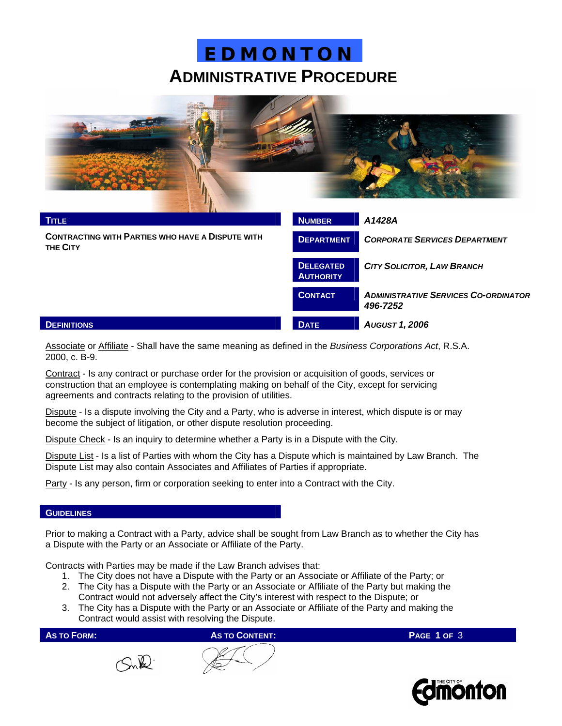## **E D M O N T O N ADMINISTRATIVE PROCEDURE**



| <b>TITLE</b>                                                        | <b>NUMBER</b>                        | A1428A                                                  |  |
|---------------------------------------------------------------------|--------------------------------------|---------------------------------------------------------|--|
| <b>CONTRACTING WITH PARTIES WHO HAVE A DISPUTE WITH</b><br>THE CITY | <b>DEPARTMENT</b>                    | <b>CORPORATE SERVICES DEPARTMENT</b>                    |  |
|                                                                     | <b>DELEGATED</b><br><b>AUTHORITY</b> | <b>CITY SOLICITOR, LAW BRANCH</b>                       |  |
|                                                                     | <b>CONTACT</b>                       | <b>ADMINISTRATIVE SERVICES CO-ORDINATOR</b><br>496-7252 |  |
| <b>DEFINITIONS</b>                                                  | <b>DATE</b>                          | <b>AUGUST 1, 2006</b>                                   |  |

Associate or Affiliate - Shall have the same meaning as defined in the *Business Corporations Act*, R.S.A. 2000, c. B-9.

Contract - Is any contract or purchase order for the provision or acquisition of goods, services or construction that an employee is contemplating making on behalf of the City, except for servicing agreements and contracts relating to the provision of utilities.

Dispute - Is a dispute involving the City and a Party, who is adverse in interest, which dispute is or may become the subject of litigation, or other dispute resolution proceeding.

Dispute Check - Is an inquiry to determine whether a Party is in a Dispute with the City.

Dispute List - Is a list of Parties with whom the City has a Dispute which is maintained by Law Branch. The Dispute List may also contain Associates and Affiliates of Parties if appropriate.

Party - Is any person, firm or corporation seeking to enter into a Contract with the City.

#### **GUIDELINES**

Prior to making a Contract with a Party, advice shall be sought from Law Branch as to whether the City has a Dispute with the Party or an Associate or Affiliate of the Party.

Contracts with Parties may be made if the Law Branch advises that:

- 1. The City does not have a Dispute with the Party or an Associate or Affiliate of the Party; or
- 2. The City has a Dispute with the Party or an Associate or Affiliate of the Party but making the Contract would not adversely affect the City's interest with respect to the Dispute; or
- 3. The City has a Dispute with the Party or an Associate or Affiliate of the Party and making the Contract would assist with resolving the Dispute.

**AS TO FORM:** AS TO **AS TO CONTENT:** PAGE 1 OF 3





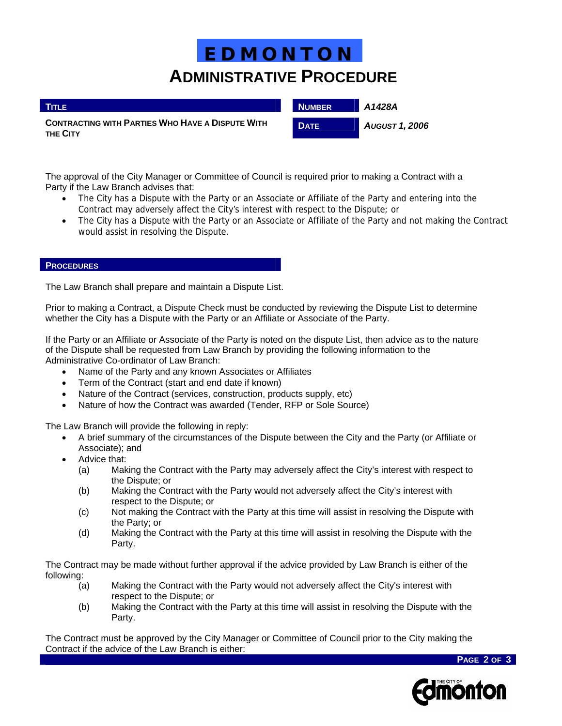# **E D M O N T O N ADMINISTRATIVE PROCEDURE**

| <b>TITLE</b>                                                               | <b>NUMBER</b> | A1428A                |
|----------------------------------------------------------------------------|---------------|-----------------------|
| <b>CONTRACTING WITH PARTIES WHO HAVE A DISPUTE WITH</b><br><b>THE CITY</b> | <b>DATE</b>   | <b>August 1, 2006</b> |

The approval of the City Manager or Committee of Council is required prior to making a Contract with a Party if the Law Branch advises that:

- The City has a Dispute with the Party or an Associate or Affiliate of the Party and entering into the Contract may adversely affect the City's interest with respect to the Dispute; or
- The City has a Dispute with the Party or an Associate or Affiliate of the Party and not making the Contract would assist in resolving the Dispute.

#### **PROCEDURES**

I

The Law Branch shall prepare and maintain a Dispute List.

Prior to making a Contract, a Dispute Check must be conducted by reviewing the Dispute List to determine whether the City has a Dispute with the Party or an Affiliate or Associate of the Party.

If the Party or an Affiliate or Associate of the Party is noted on the dispute List, then advice as to the nature of the Dispute shall be requested from Law Branch by providing the following information to the Administrative Co-ordinator of Law Branch:

- Name of the Party and any known Associates or Affiliates
- Term of the Contract (start and end date if known)
- Nature of the Contract (services, construction, products supply, etc)
- Nature of how the Contract was awarded (Tender, RFP or Sole Source)

The Law Branch will provide the following in reply:

- A brief summary of the circumstances of the Dispute between the City and the Party (or Affiliate or Associate); and
- Advice that:
	- (a) Making the Contract with the Party may adversely affect the City's interest with respect to the Dispute; or
	- (b) Making the Contract with the Party would not adversely affect the City's interest with respect to the Dispute; or
	- (c) Not making the Contract with the Party at this time will assist in resolving the Dispute with the Party; or
	- (d) Making the Contract with the Party at this time will assist in resolving the Dispute with the Party.

The Contract may be made without further approval if the advice provided by Law Branch is either of the following:

- (a) Making the Contract with the Party would not adversely affect the City's interest with respect to the Dispute; or
- (b) Making the Contract with the Party at this time will assist in resolving the Dispute with the Party.

The Contract must be approved by the City Manager or Committee of Council prior to the City making the Contract if the advice of the Law Branch is either:

**PAGE 2 OF 3**